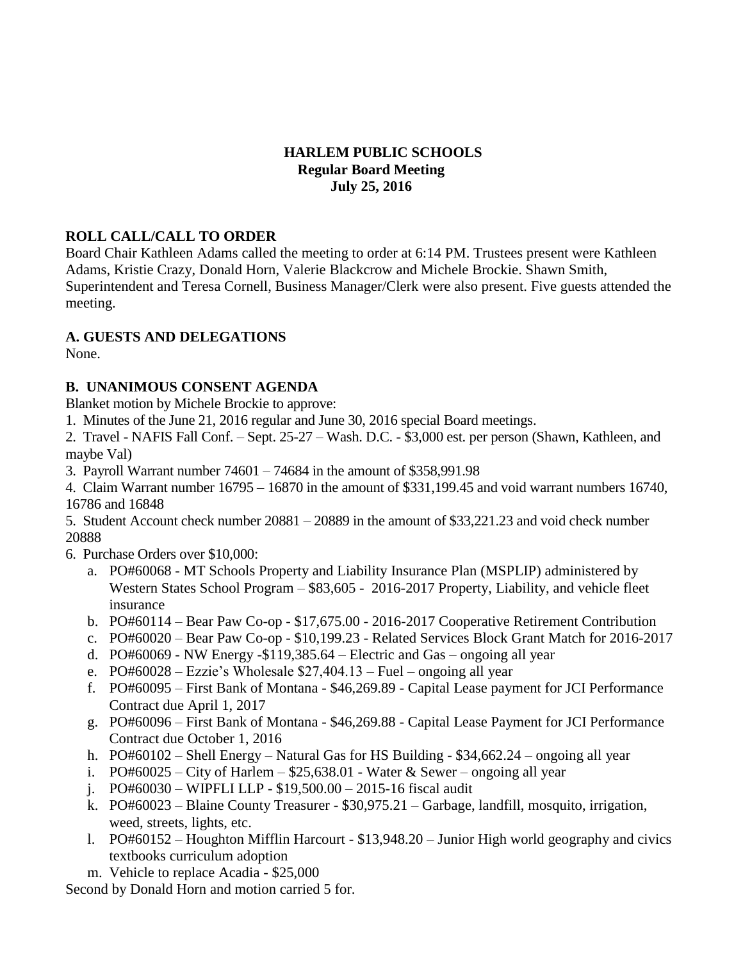# **HARLEM PUBLIC SCHOOLS Regular Board Meeting July 25, 2016**

### **ROLL CALL/CALL TO ORDER**

Board Chair Kathleen Adams called the meeting to order at 6:14 PM. Trustees present were Kathleen Adams, Kristie Crazy, Donald Horn, Valerie Blackcrow and Michele Brockie. Shawn Smith, Superintendent and Teresa Cornell, Business Manager/Clerk were also present. Five guests attended the meeting.

# **A. GUESTS AND DELEGATIONS**

None.

# **B. UNANIMOUS CONSENT AGENDA**

Blanket motion by Michele Brockie to approve:

1. Minutes of the June 21, 2016 regular and June 30, 2016 special Board meetings.

2. Travel - NAFIS Fall Conf. – Sept. 25-27 – Wash. D.C. - \$3,000 est. per person (Shawn, Kathleen, and maybe Val)

3. Payroll Warrant number 74601 – 74684 in the amount of \$358,991.98

4. Claim Warrant number 16795 – 16870 in the amount of \$331,199.45 and void warrant numbers 16740, 16786 and 16848

5. Student Account check number 20881 – 20889 in the amount of \$33,221.23 and void check number 20888

6. Purchase Orders over \$10,000:

- a. PO#60068 MT Schools Property and Liability Insurance Plan (MSPLIP) administered by Western States School Program – \$83,605 - 2016-2017 Property, Liability, and vehicle fleet insurance
- b. PO#60114 Bear Paw Co-op \$17,675.00 2016-2017 Cooperative Retirement Contribution
- c. PO#60020 Bear Paw Co-op \$10,199.23 Related Services Block Grant Match for 2016-2017
- d. PO#60069 NW Energy -\$119,385.64 Electric and Gas ongoing all year
- e. PO#60028 Ezzie's Wholesale \$27,404.13 Fuel ongoing all year
- f. PO#60095 First Bank of Montana \$46,269.89 Capital Lease payment for JCI Performance Contract due April 1, 2017
- g. PO#60096 First Bank of Montana \$46,269.88 Capital Lease Payment for JCI Performance Contract due October 1, 2016
- h. PO#60102 Shell Energy Natural Gas for HS Building \$34,662.24 ongoing all year
- i.  $PO#60025 City$  of Harlem  $$25,638.01 Water \& Sewer ongoing all year$
- j. PO#60030 WIPFLI LLP \$19,500.00 2015-16 fiscal audit
- k. PO#60023 Blaine County Treasurer \$30,975.21 Garbage, landfill, mosquito, irrigation, weed, streets, lights, etc.
- l. PO#60152 Houghton Mifflin Harcourt \$13,948.20 Junior High world geography and civics textbooks curriculum adoption
- m. Vehicle to replace Acadia \$25,000

Second by Donald Horn and motion carried 5 for.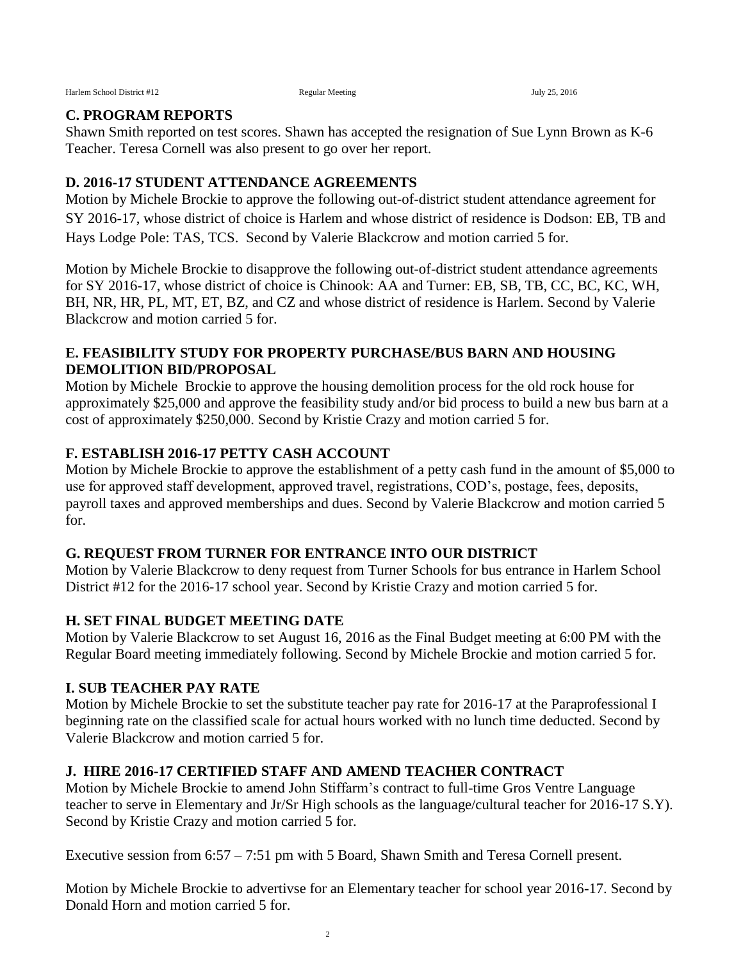Harlem School District #12 Regular Meeting July 25, 2016

#### **C. PROGRAM REPORTS**

Shawn Smith reported on test scores. Shawn has accepted the resignation of Sue Lynn Brown as K-6 Teacher. Teresa Cornell was also present to go over her report.

#### **D. 2016-17 STUDENT ATTENDANCE AGREEMENTS**

Motion by Michele Brockie to approve the following out-of-district student attendance agreement for SY 2016-17, whose district of choice is Harlem and whose district of residence is Dodson: EB, TB and Hays Lodge Pole: TAS, TCS. Second by Valerie Blackcrow and motion carried 5 for.

Motion by Michele Brockie to disapprove the following out-of-district student attendance agreements for SY 2016-17, whose district of choice is Chinook: AA and Turner: EB, SB, TB, CC, BC, KC, WH, BH, NR, HR, PL, MT, ET, BZ, and CZ and whose district of residence is Harlem. Second by Valerie Blackcrow and motion carried 5 for.

#### **E. FEASIBILITY STUDY FOR PROPERTY PURCHASE/BUS BARN AND HOUSING DEMOLITION BID/PROPOSAL**

Motion by Michele Brockie to approve the housing demolition process for the old rock house for approximately \$25,000 and approve the feasibility study and/or bid process to build a new bus barn at a cost of approximately \$250,000. Second by Kristie Crazy and motion carried 5 for.

# **F. ESTABLISH 2016-17 PETTY CASH ACCOUNT**

Motion by Michele Brockie to approve the establishment of a petty cash fund in the amount of \$5,000 to use for approved staff development, approved travel, registrations, COD's, postage, fees, deposits, payroll taxes and approved memberships and dues. Second by Valerie Blackcrow and motion carried 5 for.

### **G. REQUEST FROM TURNER FOR ENTRANCE INTO OUR DISTRICT**

Motion by Valerie Blackcrow to deny request from Turner Schools for bus entrance in Harlem School District #12 for the 2016-17 school year. Second by Kristie Crazy and motion carried 5 for.

### **H. SET FINAL BUDGET MEETING DATE**

Motion by Valerie Blackcrow to set August 16, 2016 as the Final Budget meeting at 6:00 PM with the Regular Board meeting immediately following. Second by Michele Brockie and motion carried 5 for.

### **I. SUB TEACHER PAY RATE**

Motion by Michele Brockie to set the substitute teacher pay rate for 2016-17 at the Paraprofessional I beginning rate on the classified scale for actual hours worked with no lunch time deducted. Second by Valerie Blackcrow and motion carried 5 for.

### **J. HIRE 2016-17 CERTIFIED STAFF AND AMEND TEACHER CONTRACT**

Motion by Michele Brockie to amend John Stiffarm's contract to full-time Gros Ventre Language teacher to serve in Elementary and Jr/Sr High schools as the language/cultural teacher for 2016-17 S.Y). Second by Kristie Crazy and motion carried 5 for.

Executive session from 6:57 – 7:51 pm with 5 Board, Shawn Smith and Teresa Cornell present.

Motion by Michele Brockie to advertivse for an Elementary teacher for school year 2016-17. Second by Donald Horn and motion carried 5 for.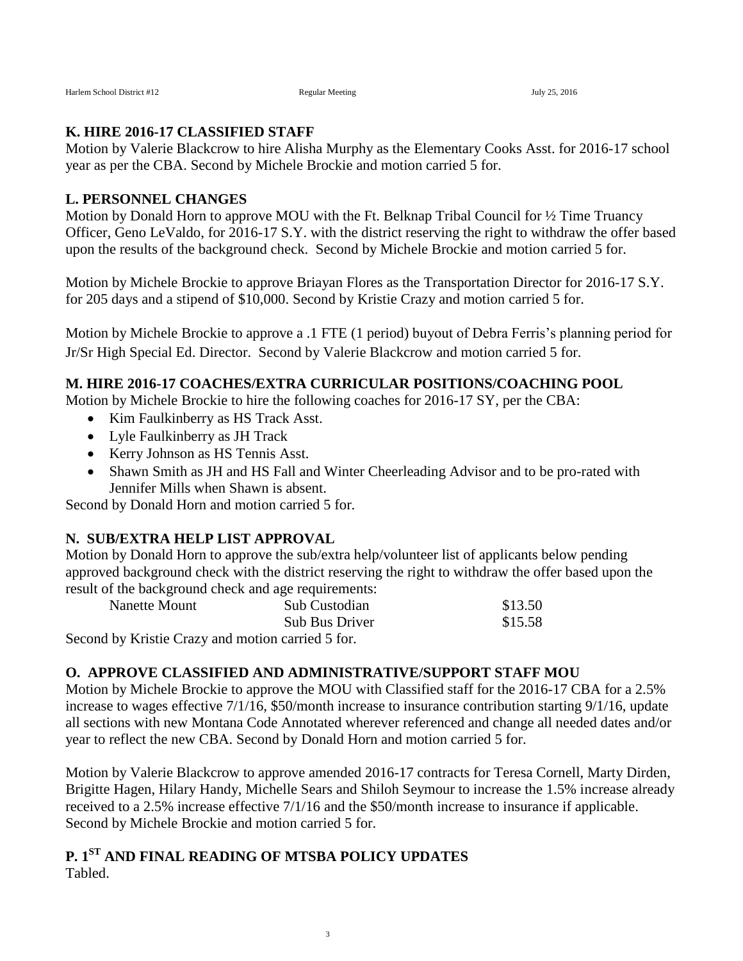#### **K. HIRE 2016-17 CLASSIFIED STAFF**

Motion by Valerie Blackcrow to hire Alisha Murphy as the Elementary Cooks Asst. for 2016-17 school year as per the CBA. Second by Michele Brockie and motion carried 5 for.

### **L. PERSONNEL CHANGES**

Motion by Donald Horn to approve MOU with the Ft. Belknap Tribal Council for  $\frac{1}{2}$  Time Truancy Officer, Geno LeValdo, for 2016-17 S.Y. with the district reserving the right to withdraw the offer based upon the results of the background check. Second by Michele Brockie and motion carried 5 for.

Motion by Michele Brockie to approve Briayan Flores as the Transportation Director for 2016-17 S.Y. for 205 days and a stipend of \$10,000. Second by Kristie Crazy and motion carried 5 for.

Motion by Michele Brockie to approve a .1 FTE (1 period) buyout of Debra Ferris's planning period for Jr/Sr High Special Ed. Director. Second by Valerie Blackcrow and motion carried 5 for.

### **M. HIRE 2016-17 COACHES/EXTRA CURRICULAR POSITIONS/COACHING POOL**

Motion by Michele Brockie to hire the following coaches for 2016-17 SY, per the CBA:

- Kim Faulkinberry as HS Track Asst.
- Lyle Faulkinberry as JH Track
- Kerry Johnson as HS Tennis Asst.
- Shawn Smith as JH and HS Fall and Winter Cheerleading Advisor and to be pro-rated with Jennifer Mills when Shawn is absent.

Second by Donald Horn and motion carried 5 for.

### **N. SUB/EXTRA HELP LIST APPROVAL**

Motion by Donald Horn to approve the sub/extra help/volunteer list of applicants below pending approved background check with the district reserving the right to withdraw the offer based upon the result of the background check and age requirements:

| Nanette Mount                                     | Sub Custodian         | \$13.50 |
|---------------------------------------------------|-----------------------|---------|
|                                                   | <b>Sub Bus Driver</b> | \$15.58 |
| Second by Kristie Crazy and motion carried 5 for. |                       |         |

### **O. APPROVE CLASSIFIED AND ADMINISTRATIVE/SUPPORT STAFF MOU**

Motion by Michele Brockie to approve the MOU with Classified staff for the 2016-17 CBA for a 2.5% increase to wages effective 7/1/16, \$50/month increase to insurance contribution starting 9/1/16, update all sections with new Montana Code Annotated wherever referenced and change all needed dates and/or year to reflect the new CBA. Second by Donald Horn and motion carried 5 for.

Motion by Valerie Blackcrow to approve amended 2016-17 contracts for Teresa Cornell, Marty Dirden, Brigitte Hagen, Hilary Handy, Michelle Sears and Shiloh Seymour to increase the 1.5% increase already received to a 2.5% increase effective 7/1/16 and the \$50/month increase to insurance if applicable. Second by Michele Brockie and motion carried 5 for.

#### **P. 1 ST AND FINAL READING OF MTSBA POLICY UPDATES** Tabled.